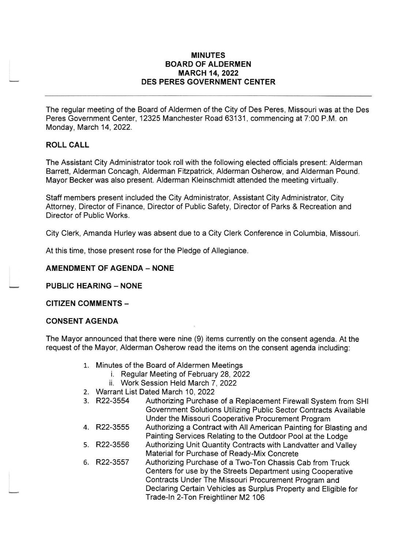### MINUTES BOARD OF ALDERMEN MARCH 14,2022 DES PERES GOVERNMENT CENTER

The regular meeting of the Board of Aldermen of the City of Des Peres, Missouri was at the Des Peres Government Center, 12325 Manchester Road 63131, commencing at 7:00 P.M. on Monday, March 14, 2022.

## ROLL CALL

The Assistant City Administrator took roll with the following elected officials present: Alderman Barrett, Alderman Concagh, Alderman Fitzpatrick, Alderman Osherow, and Alderman Pound. Mayor Becker was also present. Alderman Kleinschmidt attended the meeting virtually.

Staff members present included the City Administrator, Assistant City Administrator, City Attorney, Director of Finance, Director of Public Safety, Director of Parks & Recreation and Director of Public Works.

City Clerk, Amanda Hurley was absent due to a City Clerk Conference in Columbia, Missouri

At this time, those present rose for the Pledge of Allegiance.

### **AMENDMENT OF AGENDA - NONE**

PUBLIC HEARING - NONE

CITIZEN COMMENTS -

### CONSENT AGENDA

The Mayor announced that there were nine (9) items currently on the consent agenda. At the request of the Mayor, Alderman Osherow read the items on the consent agenda including:

- 
- 1. Minutes of the Board of Aldermen Meetings i. Regular Meeting of February 28,2022
	- ii. Work Session Held March 7, 2022
- 2. Warrant List Dated March 10, 2022<br>3. R22-3554 Authorizing Purchase
- Authorizing Purchase of a Replacement Firewall System from SHI Government Solutions Utilizing Public Sector Contracts Available Under the Missouri Cooperative Procurement Program
- 4. R22-3555 Authorizing a Contract with All American Painting for Blasting and Painting Services Relating to the Outdoor Pool at the Lodge
- 5. R22-3556 Authorizing Unit Quantity Contracts with Landvatter and Valley Material for Purchase of Ready-Mix Concrete
- 6. R22-3557 Authorizing Purchase of a Two-Ton Chassis Cab from Truck Centers for use by the Streets Department using Cooperative Contracts Under The Missouri Procurement Program and Declaring Certain Vehicles as Surplus Property and Eligible for Trade-ln 2-Ton Freightliner M2 106